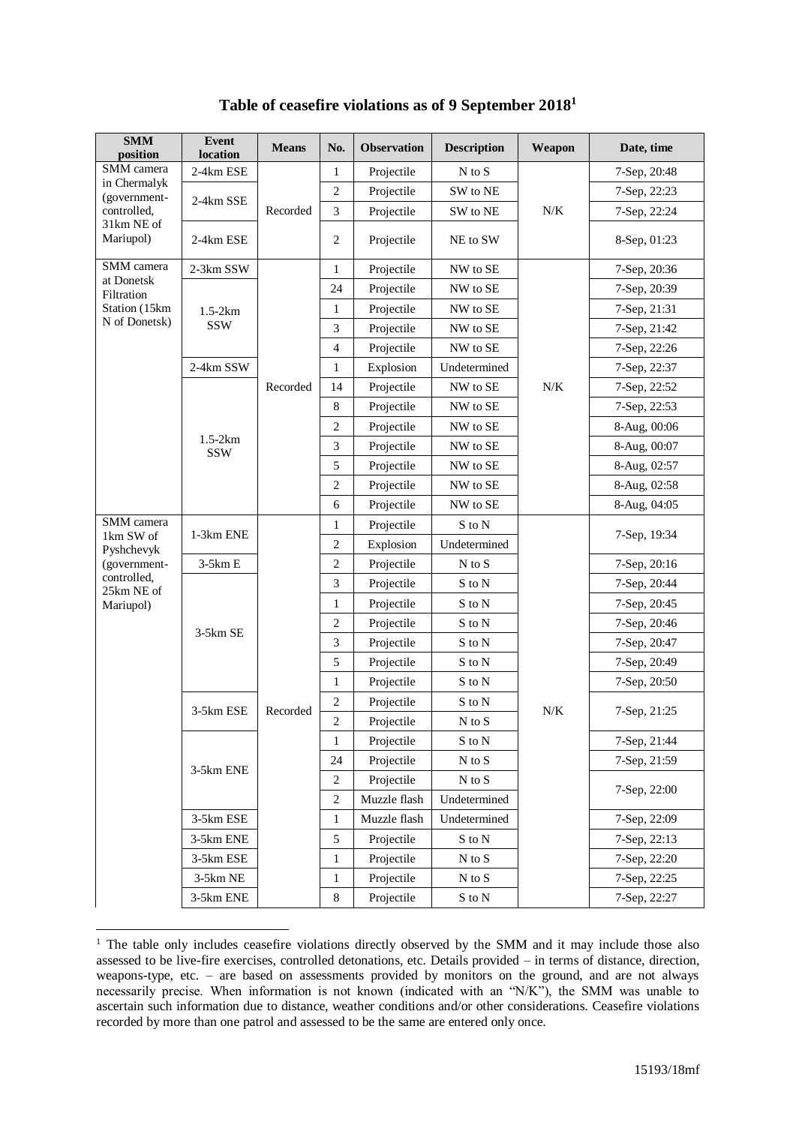| <b>SMM</b><br>position                     | <b>Event</b><br>location | <b>Means</b> | No.            | <b>Observation</b> | <b>Description</b>         | Weapon    | Date, time   |
|--------------------------------------------|--------------------------|--------------|----------------|--------------------|----------------------------|-----------|--------------|
| SMM camera<br>in Chermalyk<br>(government- | 2-4km ESE                |              | 1              | Projectile         | $N$ to $S$                 |           | 7-Sep, 20:48 |
|                                            |                          |              | $\overline{2}$ | Projectile         | SW to NE                   |           | 7-Sep, 22:23 |
| controlled,                                | 2-4km SSE                | Recorded     | 3              | Projectile         | SW to NE                   | $N\!/\!K$ | 7-Sep, 22:24 |
| 31km NE of<br>Mariupol)                    | 2-4km ESE                |              | $\overline{2}$ | Projectile         | NE to SW                   |           | 8-Sep, 01:23 |
| SMM camera                                 | 2-3km SSW                |              | $\mathbf{1}$   | Projectile         | NW to SE                   |           | 7-Sep, 20:36 |
| at Donetsk<br>Filtration                   |                          |              | 24             | Projectile         | NW to SE                   |           | 7-Sep, 20:39 |
| Station (15km                              | $1.5-2km$                |              | $\mathbf{1}$   | Projectile         | NW to SE                   |           | 7-Sep, 21:31 |
| N of Donetsk)                              | <b>SSW</b>               |              | 3              | Projectile         | NW to SE                   |           | 7-Sep, 21:42 |
|                                            |                          |              | $\overline{4}$ | Projectile         | NW to SE                   |           | 7-Sep, 22:26 |
|                                            | 2-4km SSW                |              | 1              | Explosion          | Undetermined               |           | 7-Sep, 22:37 |
|                                            |                          | Recorded     | 14             | Projectile         | NW to SE                   | $N\!/\!K$ | 7-Sep, 22:52 |
|                                            |                          |              | $\,8\,$        | Projectile         | NW to SE                   |           | 7-Sep, 22:53 |
|                                            |                          |              | $\overline{2}$ | Projectile         | NW to SE                   |           | 8-Aug, 00:06 |
|                                            | $1.5-2km$<br><b>SSW</b>  |              | 3              | Projectile         | NW to SE                   |           | 8-Aug, 00:07 |
|                                            |                          |              | $\mathfrak s$  | Projectile         | NW to SE                   |           | 8-Aug, 02:57 |
|                                            |                          |              | $\overline{2}$ | Projectile         | NW to SE                   |           | 8-Aug, 02:58 |
|                                            |                          |              | 6              | Projectile         | NW to SE                   |           | 8-Aug, 04:05 |
| SMM camera                                 | 1-3km ENE                |              | 1              | Projectile         | S to N                     |           | 7-Sep, 19:34 |
| 1km SW of<br>Pyshchevyk                    |                          |              | $\overline{2}$ | Explosion          | Undetermined               |           |              |
| (government-                               | $3-5km E$                |              | $\overline{2}$ | Projectile         | $N$ to $S$                 |           | 7-Sep, 20:16 |
| controlled,<br>25km NE of                  |                          |              | 3              | Projectile         | $\mathbf S$ to $\mathbf N$ |           | 7-Sep, 20:44 |
| Mariupol)                                  | 3-5km SE                 |              | $\mathbf{1}$   | Projectile         | S to N                     |           | 7-Sep, 20:45 |
|                                            |                          |              | $\mathfrak{2}$ | Projectile         | S to N                     |           | 7-Sep, 20:46 |
|                                            |                          |              | $\mathfrak{Z}$ | Projectile         | S to N                     |           | 7-Sep, 20:47 |
|                                            |                          |              | 5              | Projectile         | $\mathbf S$ to $\mathbf N$ |           | 7-Sep, 20:49 |
|                                            |                          |              | $\mathbf{1}$   | Projectile         | S to N                     |           | 7-Sep, 20:50 |
|                                            | 3-5km ESE                | Recorded     | $\mathfrak{2}$ | Projectile         | S to N                     | $N\!/\!K$ | 7-Sep, 21:25 |
|                                            |                          |              | $\overline{2}$ | Projectile         | $N$ to $S$                 |           |              |
|                                            |                          |              | 1              | Projectile         | S to N                     |           | 7-Sep, 21:44 |
|                                            | 3-5km ENE                |              | 24             | Projectile         | $\mathbf N$ to $\mathbf S$ |           | 7-Sep, 21:59 |
|                                            |                          |              | $\overline{c}$ | Projectile         | $\mathbf N$ to $\mathbf S$ |           | 7-Sep, 22:00 |
|                                            |                          |              | $\mathfrak{2}$ | Muzzle flash       | Undetermined               |           |              |
|                                            | 3-5km ESE                |              | 1              | Muzzle flash       | Undetermined               |           | 7-Sep, 22:09 |
|                                            | 3-5km ENE                |              | 5              | Projectile         | S to N                     |           | 7-Sep, 22:13 |
|                                            | 3-5km ESE                |              | $\mathbf{1}$   | Projectile         | $N$ to $S$                 |           | 7-Sep, 22:20 |
|                                            | 3-5km NE                 |              | 1              | Projectile         | $\mathbf N$ to $\mathbf S$ |           | 7-Sep, 22:25 |
|                                            | 3-5km ENE                |              | $\,$ 8 $\,$    | Projectile         | $\mathbf S$ to $\mathbf N$ |           | 7-Sep, 22:27 |

## **Table of ceasefire violations as of 9 September 2018<sup>1</sup>**

<u>.</u>

<sup>&</sup>lt;sup>1</sup> The table only includes ceasefire violations directly observed by the SMM and it may include those also assessed to be live-fire exercises, controlled detonations, etc. Details provided – in terms of distance, direction, weapons-type, etc. – are based on assessments provided by monitors on the ground, and are not always necessarily precise. When information is not known (indicated with an "N/K"), the SMM was unable to ascertain such information due to distance, weather conditions and/or other considerations. Ceasefire violations recorded by more than one patrol and assessed to be the same are entered only once.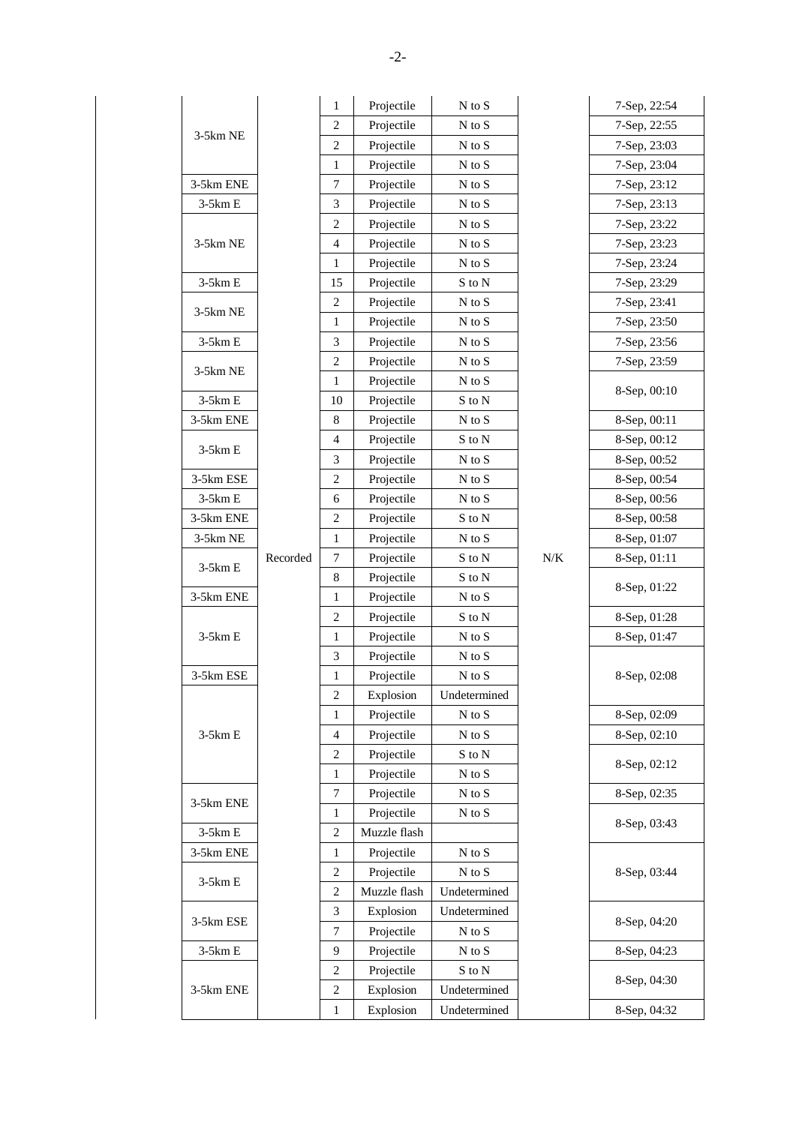|            |          | 1                       | Projectile   | $\mathbf N$ to $\mathbf S$ |           | 7-Sep, 22:54 |
|------------|----------|-------------------------|--------------|----------------------------|-----------|--------------|
|            |          | 2                       | Projectile   | $\mathbf N$ to $\mathbf S$ |           | 7-Sep, 22:55 |
| 3-5km NE   |          | $\overline{c}$          | Projectile   | N to S                     |           | 7-Sep, 23:03 |
|            |          | 1                       | Projectile   | $N$ to $S$                 |           | 7-Sep, 23:04 |
| 3-5km ENE  |          | 7                       | Projectile   | N to S                     |           | 7-Sep, 23:12 |
| $3-5km E$  |          | 3                       | Projectile   | $N$ to $S$                 |           | 7-Sep, 23:13 |
|            |          | $\sqrt{2}$              | Projectile   | N to S                     |           | 7-Sep, 23:22 |
| 3-5km NE   |          | $\overline{4}$          | Projectile   | N to S                     |           | 7-Sep, 23:23 |
|            |          | $\mathbf{1}$            | Projectile   | N to S                     |           | 7-Sep, 23:24 |
| $3-5km E$  |          | 15                      | Projectile   | S to N                     |           | 7-Sep, 23:29 |
| 3-5km NE   |          | $\overline{c}$          | Projectile   | N to S                     |           | 7-Sep, 23:41 |
|            |          | 1                       | Projectile   | N to S                     |           | 7-Sep, 23:50 |
| $3-5km E$  |          | 3                       | Projectile   | $N$ to $S$                 |           | 7-Sep, 23:56 |
|            |          | $\overline{c}$          | Projectile   | N to S                     |           | 7-Sep, 23:59 |
| 3-5km NE   |          | 1                       | Projectile   | $N$ to $S$                 |           | 8-Sep, 00:10 |
| $3-5km E$  |          | 10                      | Projectile   | S to N                     |           |              |
| 3-5km ENE  |          | 8                       | Projectile   | $\mathbf N$ to $\mathbf S$ |           | 8-Sep, 00:11 |
| $3-5km E$  |          | $\overline{4}$          | Projectile   | $\mathbf S$ to $\mathbf N$ |           | 8-Sep, 00:12 |
|            |          | 3                       | Projectile   | N to S                     |           | 8-Sep, 00:52 |
| 3-5km ESE  |          | $\overline{c}$          | Projectile   | N to S                     |           | 8-Sep, 00:54 |
| $3-5km E$  |          | 6                       | Projectile   | N to S                     |           | 8-Sep, 00:56 |
| 3-5km ENE  |          | $\overline{c}$          | Projectile   | S to N                     |           | 8-Sep, 00:58 |
| 3-5km NE   |          | 1                       | Projectile   | N to S                     |           | 8-Sep, 01:07 |
| $3-5km E$  | Recorded | 7                       | Projectile   | S to N                     | $N\!/\!K$ | 8-Sep, 01:11 |
|            |          | 8                       | Projectile   | S to N                     |           | 8-Sep, 01:22 |
| 3-5km ENE  |          | 1                       | Projectile   | $N$ to $S$                 |           |              |
|            |          | $\overline{\mathbf{c}}$ | Projectile   | S to N                     |           | 8-Sep, 01:28 |
| $3-5km E$  |          | 1                       | Projectile   | $\mathbf N$ to $\mathbf S$ |           | 8-Sep, 01:47 |
|            |          | 3                       | Projectile   | $\mathbf N$ to $\mathbf S$ |           |              |
| 3-5km ESE  |          | $\mathbf{1}$            | Projectile   | $\mathbf N$ to $\mathbf S$ |           | 8-Sep, 02:08 |
|            |          | $\overline{\mathbf{c}}$ | Explosion    | Undetermined               |           |              |
|            |          | 1                       | Projectile   | N to S                     |           | 8-Sep, 02:09 |
| $3-5km\to$ |          | 4                       | Projectile   | $\mathbf N$ to $\mathbf S$ |           | 8-Sep, 02:10 |
|            |          | $\boldsymbol{2}$        | Projectile   | S to N                     |           | 8-Sep, 02:12 |
|            |          | 1                       | Projectile   | $N$ to $S$                 |           |              |
| 3-5km ENE  |          | 7                       | Projectile   | N to S                     |           | 8-Sep, 02:35 |
|            |          | 1                       | Projectile   | $\mathbf N$ to $\mathbf S$ |           | 8-Sep, 03:43 |
| $3-5km E$  |          | $\mathfrak{2}$          | Muzzle flash |                            |           |              |
| 3-5km ENE  |          | 1                       | Projectile   | $\mathbf N$ to $\mathbf S$ |           |              |
| $3-5km E$  |          | $\boldsymbol{2}$        | Projectile   | $N$ to $S$                 |           | 8-Sep, 03:44 |
|            |          | $\boldsymbol{2}$        | Muzzle flash | Undetermined               |           |              |
| 3-5km ESE  |          | 3<br>Explosion          |              | Undetermined               |           | 8-Sep, 04:20 |
|            |          | 7                       | Projectile   | N to S                     |           |              |
| $3-5km E$  |          | 9                       | Projectile   | $\mathbf N$ to $\mathbf S$ |           | 8-Sep, 04:23 |
|            |          | 2                       | Projectile   | S to N                     |           | 8-Sep, 04:30 |
| 3-5km ENE  |          | 2                       | Explosion    | Undetermined               |           |              |
|            |          | 1                       | Explosion    | Undetermined               |           | 8-Sep, 04:32 |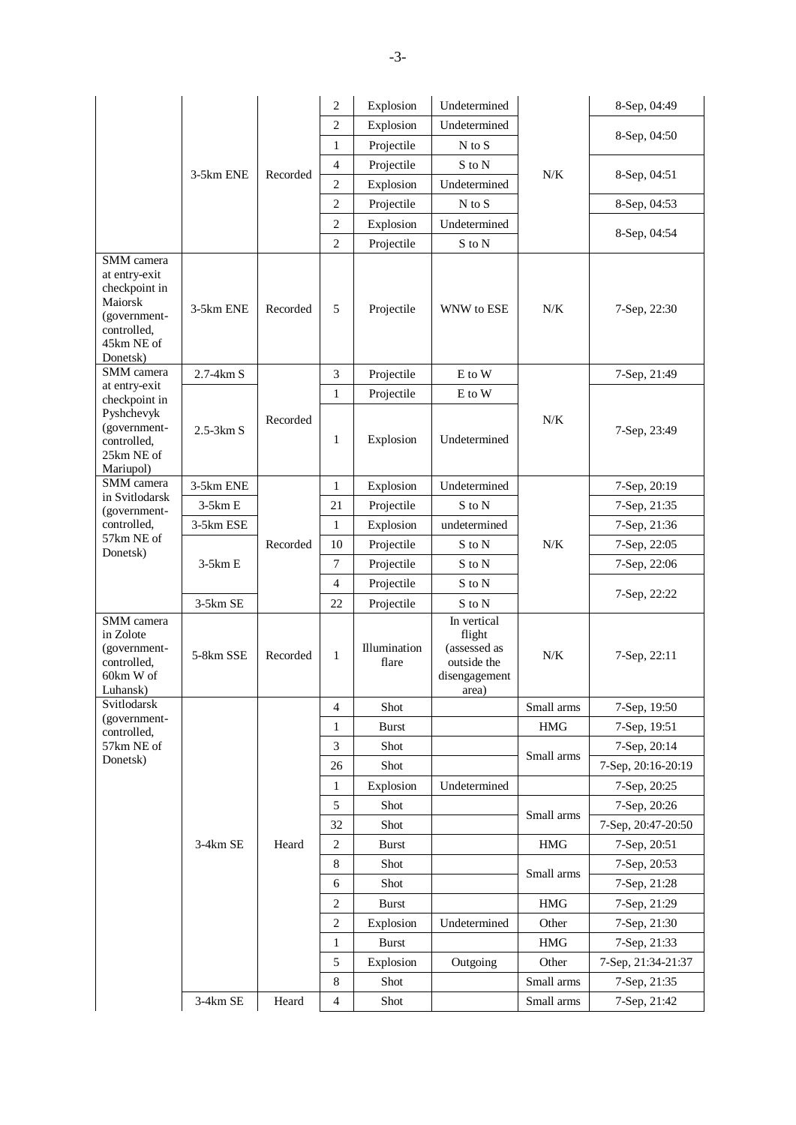|                                                                                                                  |             |          | $\overline{c}$ | Explosion             | Undetermined                                                                   |            | 8-Sep, 04:49       |
|------------------------------------------------------------------------------------------------------------------|-------------|----------|----------------|-----------------------|--------------------------------------------------------------------------------|------------|--------------------|
|                                                                                                                  | 3-5km ENE   |          | $\overline{2}$ | Explosion             | Undetermined                                                                   |            |                    |
|                                                                                                                  |             |          | $\mathbf{1}$   | Projectile            | $N$ to $S$                                                                     |            | 8-Sep, 04:50       |
|                                                                                                                  |             |          | $\overline{4}$ | Projectile            | S to N                                                                         |            |                    |
|                                                                                                                  |             | Recorded | $\overline{2}$ | Explosion             | Undetermined                                                                   | N/K        | 8-Sep, 04:51       |
|                                                                                                                  |             |          | $\overline{2}$ | Projectile            | $N$ to $S$                                                                     |            | 8-Sep, 04:53       |
|                                                                                                                  |             |          | $\mathfrak{2}$ | Explosion             | Undetermined                                                                   |            |                    |
|                                                                                                                  |             |          | $\overline{2}$ | Projectile            | S to N                                                                         |            | 8-Sep, 04:54       |
| SMM camera<br>at entry-exit<br>checkpoint in<br>Maiorsk<br>(government-<br>controlled,<br>45km NE of<br>Donetsk) | 3-5km ENE   | Recorded | 5              | Projectile            | WNW to ESE                                                                     | $N/K$      | 7-Sep, 22:30       |
| SMM camera                                                                                                       | 2.7-4km S   |          | 3              | Projectile            | E to W                                                                         |            | 7-Sep, 21:49       |
| at entry-exit<br>checkpoint in                                                                                   |             |          | $\mathbf{1}$   | Projectile            | E to W                                                                         |            |                    |
| Pyshchevyk<br>(government-<br>controlled,<br>25km NE of<br>Mariupol)                                             | $2.5-3km S$ | Recorded | $\mathbf{1}$   | Explosion             | Undetermined                                                                   | N/K        | 7-Sep, 23:49       |
| SMM camera                                                                                                       | 3-5km ENE   |          | $\mathbf{1}$   | Explosion             | Undetermined                                                                   |            | 7-Sep, 20:19       |
| in Svitlodarsk<br>(government-                                                                                   | $3-5km E$   |          | 21             | Projectile            | S to N                                                                         |            | 7-Sep, 21:35       |
| controlled,                                                                                                      | 3-5km ESE   |          | $\mathbf{1}$   | Explosion             | undetermined                                                                   |            | 7-Sep, 21:36       |
| 57km NE of                                                                                                       | $3-5km E$   | Recorded | 10             | Projectile            | S to N                                                                         | $N/K$      | 7-Sep, 22:05       |
| Donetsk)                                                                                                         |             |          | $\tau$         | Projectile            | S to N                                                                         |            | 7-Sep, 22:06       |
|                                                                                                                  |             |          | $\overline{4}$ | Projectile            | S to N                                                                         |            |                    |
|                                                                                                                  | 3-5km SE    |          | 22             | Projectile            | S to N                                                                         |            | 7-Sep, 22:22       |
| SMM camera<br>in Zolote<br>(government-<br>controlled,<br>60km W of<br>Luhansk)                                  | 5-8km SSE   | Recorded | $\mathbf{1}$   | Illumination<br>flare | In vertical<br>flight<br>(assessed as<br>outside the<br>disengagement<br>area) | $N/K$      | 7-Sep, 22:11       |
| Svitlodarsk<br>(government-                                                                                      |             |          | 4              | Shot                  |                                                                                | Small arms | 7-Sep, 19:50       |
| controlled,                                                                                                      |             |          | $\mathbf{1}$   | <b>Burst</b>          |                                                                                | $\rm HMG$  | 7-Sep, 19:51       |
| 57km NE of                                                                                                       |             |          | 3              | Shot                  |                                                                                | Small arms | 7-Sep, 20:14       |
| Donetsk)                                                                                                         |             |          | 26             | Shot                  |                                                                                |            | 7-Sep, 20:16-20:19 |
|                                                                                                                  |             |          | 1              | Explosion             | Undetermined                                                                   |            | 7-Sep, 20:25       |
|                                                                                                                  |             |          | $\mathfrak{S}$ | Shot                  |                                                                                | Small arms | 7-Sep, 20:26       |
|                                                                                                                  |             |          | 32             | Shot                  |                                                                                |            | 7-Sep, 20:47-20:50 |
|                                                                                                                  | 3-4km SE    | Heard    | $\sqrt{2}$     | <b>Burst</b>          |                                                                                | <b>HMG</b> | 7-Sep, 20:51       |
|                                                                                                                  |             |          | $\,8\,$        | Shot                  |                                                                                | Small arms | 7-Sep, 20:53       |
|                                                                                                                  |             |          | 6              | Shot                  |                                                                                |            | 7-Sep, 21:28       |
|                                                                                                                  |             |          | $\mathfrak{2}$ | <b>Burst</b>          |                                                                                | $\rm HMG$  | 7-Sep, 21:29       |
|                                                                                                                  |             |          | $\sqrt{2}$     | Explosion             | Undetermined                                                                   | Other      | 7-Sep, 21:30       |
|                                                                                                                  |             |          | 1              | <b>Burst</b>          |                                                                                | $\rm HMG$  | 7-Sep, 21:33       |
|                                                                                                                  |             |          | 5              | Explosion             | Outgoing                                                                       | Other      | 7-Sep, 21:34-21:37 |
|                                                                                                                  |             |          | $\,$ 8 $\,$    | Shot                  |                                                                                | Small arms | 7-Sep, 21:35       |
|                                                                                                                  |             |          | $\overline{4}$ | Shot                  |                                                                                |            | 7-Sep, 21:42       |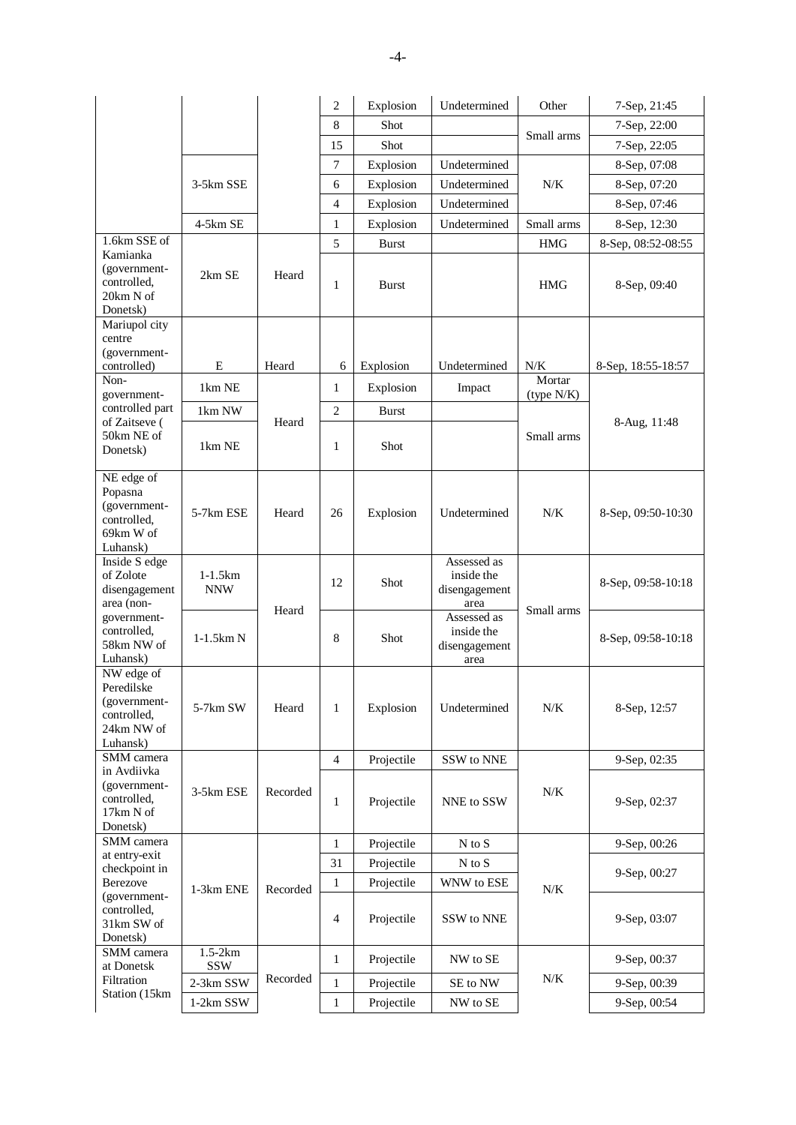|                                                                                   |                         |          | $\mathfrak{2}$ | Explosion    | Undetermined                                       | Other                | 7-Sep, 21:45       |
|-----------------------------------------------------------------------------------|-------------------------|----------|----------------|--------------|----------------------------------------------------|----------------------|--------------------|
|                                                                                   |                         |          | 8              | Shot         |                                                    |                      | 7-Sep, 22:00       |
|                                                                                   |                         |          | 15             | Shot         |                                                    | Small arms           | 7-Sep, 22:05       |
|                                                                                   |                         |          | $\overline{7}$ | Explosion    | Undetermined                                       |                      | 8-Sep, 07:08       |
|                                                                                   | 3-5km SSE               |          | 6              | Explosion    | Undetermined                                       | N/K                  | 8-Sep, 07:20       |
|                                                                                   |                         |          | $\overline{4}$ | Explosion    | Undetermined                                       |                      | 8-Sep, 07:46       |
|                                                                                   | 4-5km SE                |          | $\mathbf{1}$   | Explosion    | Undetermined                                       | Small arms           | 8-Sep, 12:30       |
| 1.6km SSE of                                                                      |                         |          | 5              | <b>Burst</b> |                                                    | <b>HMG</b>           | 8-Sep, 08:52-08:55 |
| Kamianka<br>(government-<br>controlled.<br>20km N of<br>Donetsk)                  | 2km SE                  | Heard    | 1              | <b>Burst</b> |                                                    | HMG                  | 8-Sep, 09:40       |
| Mariupol city<br>centre                                                           |                         |          |                |              |                                                    |                      |                    |
| (government-                                                                      |                         |          |                |              |                                                    |                      |                    |
| controlled)                                                                       | E                       | Heard    | 6              | Explosion    | Undetermined                                       | N/K                  | 8-Sep, 18:55-18:57 |
| Non-<br>government-                                                               | 1km NE                  |          | $\mathbf{1}$   | Explosion    | Impact                                             | Mortar<br>(type N/K) |                    |
| controlled part                                                                   | 1km NW                  |          | $\mathfrak{2}$ | <b>Burst</b> |                                                    |                      |                    |
| of Zaitseve (<br>50km NE of<br>Donetsk)                                           | 1km NE                  | Heard    | $\mathbf{1}$   | Shot         |                                                    | Small arms           | 8-Aug, 11:48       |
| NE edge of<br>Popasna<br>(government-<br>controlled,<br>69km W of<br>Luhansk)     | 5-7km ESE               | Heard    | 26             | Explosion    | Undetermined                                       | N/K                  | 8-Sep, 09:50-10:30 |
| Inside S edge<br>of Zolote<br>disengagement<br>area (non-                         | $1-1.5km$<br><b>NNW</b> | Heard    | 12             | Shot         | Assessed as<br>inside the<br>disengagement<br>area | Small arms           | 8-Sep, 09:58-10:18 |
| government-<br>controlled,<br>58km NW of<br>Luhansk)                              | $1-1.5km N$             |          | 8              | Shot         | Assessed as<br>inside the<br>disengagement<br>area |                      | 8-Sep, 09:58-10:18 |
| NW edge of<br>Peredilske<br>(government-<br>controlled,<br>24km NW of<br>Luhansk) | 5-7km SW                | Heard    | $\mathbf{1}$   | Explosion    | Undetermined                                       | $N\!/\!K$            | 8-Sep, 12:57       |
| SMM camera                                                                        |                         |          | $\overline{4}$ | Projectile   | SSW to NNE                                         |                      | 9-Sep, 02:35       |
| in Avdiivka<br>(government-<br>controlled,<br>17km N of<br>Donetsk)               | 3-5km ESE               | Recorded | $\mathbf{1}$   | Projectile   | NNE to SSW                                         | $N\!/\!K$            | 9-Sep, 02:37       |
| SMM camera                                                                        |                         |          | $\mathbf{1}$   | Projectile   | N to S                                             |                      | 9-Sep, 00:26       |
| at entry-exit<br>checkpoint in                                                    |                         |          | 31             | Projectile   | $N$ to $S$                                         |                      |                    |
| Berezove                                                                          | 1-3km ENE               | Recorded | $\mathbf{1}$   | Projectile   | WNW to ESE                                         | N/K                  | 9-Sep, 00:27       |
| (government-<br>controlled,<br>31km SW of<br>Donetsk)                             |                         |          | $\overline{4}$ | Projectile   | SSW to NNE                                         |                      | 9-Sep, 03:07       |
| SMM camera<br>at Donetsk                                                          | $1.5 - 2km$<br>SSW      |          | $\mathbf{1}$   | Projectile   | NW to SE                                           |                      | 9-Sep, 00:37       |
| Filtration                                                                        | 2-3km SSW               | Recorded | $\mathbf{1}$   | Projectile   | SE to NW                                           | $N\!/\!K$            | 9-Sep, 00:39       |
| Station (15km                                                                     | 1-2km SSW               |          | $\mathbf{1}$   | Projectile   | NW to SE                                           |                      | 9-Sep, 00:54       |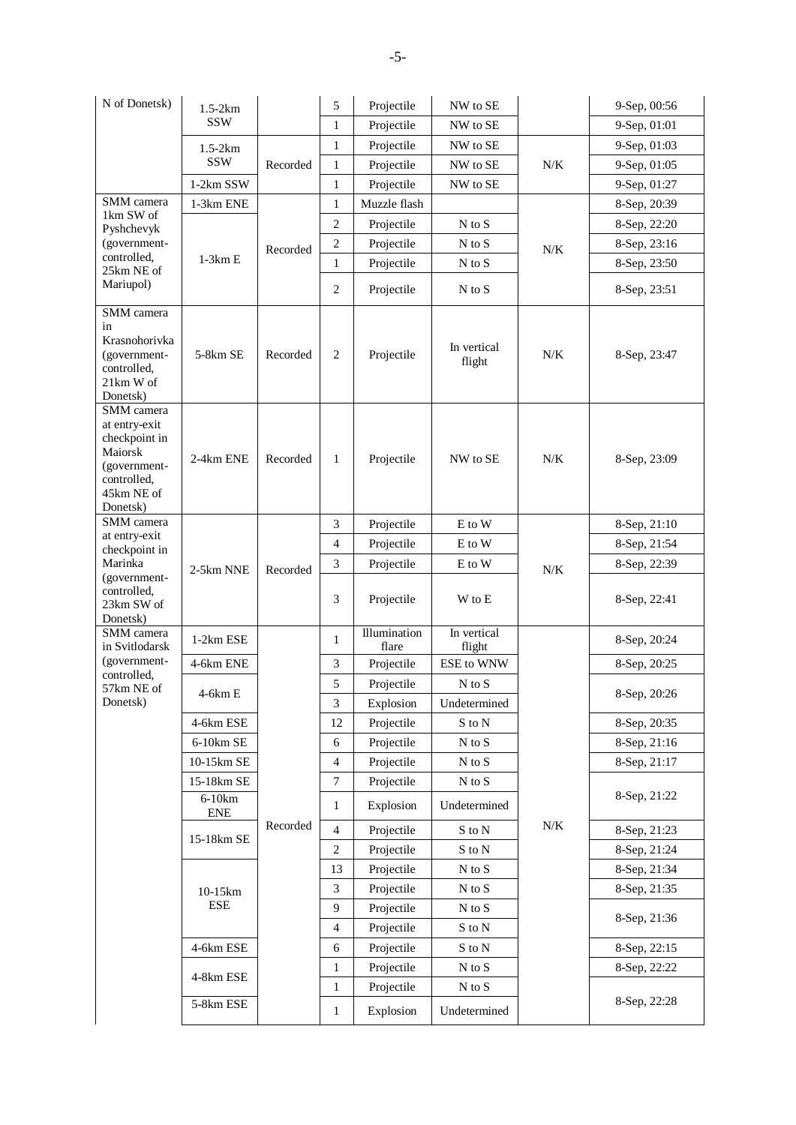| N of Donetsk)                                                                                                    | $1.5-2km$              |          | 5                            | Projectile              | NW to SE                                   |           | 9-Sep, 00:56 |
|------------------------------------------------------------------------------------------------------------------|------------------------|----------|------------------------------|-------------------------|--------------------------------------------|-----------|--------------|
|                                                                                                                  | <b>SSW</b>             |          | $\mathbf{1}$                 | Projectile              | NW to SE                                   |           | 9-Sep, 01:01 |
|                                                                                                                  | $1.5-2km$              |          | $\mathbf{1}$                 | Projectile              | NW to SE                                   |           | 9-Sep, 01:03 |
|                                                                                                                  | <b>SSW</b>             | Recorded | $\mathbf{1}$                 | Projectile              | NW to SE                                   | N/K       | 9-Sep, 01:05 |
|                                                                                                                  | 1-2km SSW              |          | $\mathbf{1}$                 | Projectile              | NW to SE                                   |           | 9-Sep, 01:27 |
| SMM camera                                                                                                       | 1-3km ENE              |          | $\mathbf{1}$                 | Muzzle flash            |                                            |           | 8-Sep, 20:39 |
| 1km SW of<br>Pyshchevyk                                                                                          |                        |          | $\overline{c}$               | Projectile              | $N$ to $S$                                 |           | 8-Sep, 22:20 |
| (government-                                                                                                     |                        | Recorded | $\overline{2}$               | Projectile              | $N$ to $S$                                 | $N/K$     | 8-Sep, 23:16 |
| controlled,<br>25km NE of                                                                                        | $1-3km E$              |          | $\mathbf{1}$                 | Projectile              | $N$ to $S$                                 |           | 8-Sep, 23:50 |
| Mariupol)                                                                                                        |                        |          | $\overline{c}$               | Projectile              | $N$ to $S$                                 |           | 8-Sep, 23:51 |
| SMM camera                                                                                                       |                        |          |                              |                         |                                            |           |              |
| in<br>Krasnohorivka<br>(government-<br>controlled,<br>21km W of<br>Donetsk)                                      | 5-8km SE               | Recorded | 2                            | Projectile              | In vertical<br>flight                      | $N/K$     | 8-Sep, 23:47 |
| SMM camera<br>at entry-exit<br>checkpoint in<br>Maiorsk<br>(government-<br>controlled,<br>45km NE of<br>Donetsk) | 2-4km ENE              | Recorded | $\mathbf{1}$                 | Projectile              | NW to SE                                   | $N/K$     | 8-Sep, 23:09 |
| SMM camera                                                                                                       |                        |          | 3                            | Projectile              | E to W                                     |           | 8-Sep, 21:10 |
| at entry-exit<br>checkpoint in                                                                                   |                        |          | $\overline{4}$               | Projectile              | E to W                                     |           | 8-Sep, 21:54 |
| Marinka                                                                                                          | 2-5km NNE              | Recorded | 3                            | Projectile              | E to W                                     | $N/K$     | 8-Sep, 22:39 |
| (government-<br>controlled,<br>23km SW of<br>Donetsk)                                                            |                        |          | 3                            | Projectile              | W to E                                     |           | 8-Sep, 22:41 |
| SMM camera<br>in Svitlodarsk                                                                                     | 1-2km ESE              |          | $\mathbf{1}$                 | Illumination<br>flare   | In vertical<br>flight                      |           | 8-Sep, 20:24 |
| (government-<br>controlled,                                                                                      | 4-6km ENE              |          | 3                            | Projectile              | ESE to WNW                                 |           | 8-Sep, 20:25 |
| 57km NE of                                                                                                       | 4-6km E                |          | 5                            | Projectile              | $N$ to $S$                                 |           | 8-Sep, 20:26 |
| Donetsk)                                                                                                         |                        |          | 3                            | Explosion               | Undetermined                               |           |              |
|                                                                                                                  | 4-6km ESE              |          | 12                           | Projectile              | $\mathbf S$ to $\mathbf N$                 |           | 8-Sep, 20:35 |
|                                                                                                                  | $6-10km$ SE            |          | 6                            | Projectile              | $N$ to $S$                                 |           | 8-Sep, 21:16 |
|                                                                                                                  | 10-15km SE             |          | 4                            | Projectile              | $\mathbf N$ to $\mathbf S$                 |           | 8-Sep, 21:17 |
|                                                                                                                  | 15-18km SE             |          | 7                            | Projectile              | $\mathbf N$ to $\mathbf S$                 |           |              |
|                                                                                                                  | $6-10km$<br><b>ENE</b> | Recorded | 1                            | Explosion               | Undetermined                               | $N\!/\!K$ | 8-Sep, 21:22 |
|                                                                                                                  | 15-18km SE             |          | 4                            | Projectile              | S to N                                     |           | 8-Sep, 21:23 |
|                                                                                                                  |                        |          | $\sqrt{2}$                   | Projectile              | $\mathbf S$ to $\mathbf N$                 |           | 8-Sep, 21:24 |
|                                                                                                                  |                        |          | 13                           | Projectile              | $\mathbf N$ to $\mathbf S$                 |           | 8-Sep, 21:34 |
|                                                                                                                  | 10-15km                |          | 3                            | Projectile              | $\mathbf N$ to $\mathbf S$                 |           | 8-Sep, 21:35 |
|                                                                                                                  | ESE                    |          | 9                            | Projectile              | $\mathbf N$ to $\mathbf S$                 |           | 8-Sep, 21:36 |
|                                                                                                                  |                        |          | 4                            | Projectile              | S to N                                     |           |              |
|                                                                                                                  | 4-6km ESE              |          | 6                            | Projectile              | $\mathbf S$ to $\mathbf N$                 |           | 8-Sep, 22:15 |
|                                                                                                                  | 4-8km ESE              |          | $\mathbf{1}$                 | Projectile              | $\mathbf N$ to $\mathbf S$                 |           | 8-Sep, 22:22 |
|                                                                                                                  | 5-8km ESE              |          | $\mathbf{1}$<br>$\mathbf{1}$ | Projectile<br>Explosion | $\mathbf N$ to $\mathbf S$<br>Undetermined |           | 8-Sep, 22:28 |
|                                                                                                                  |                        |          |                              |                         |                                            |           |              |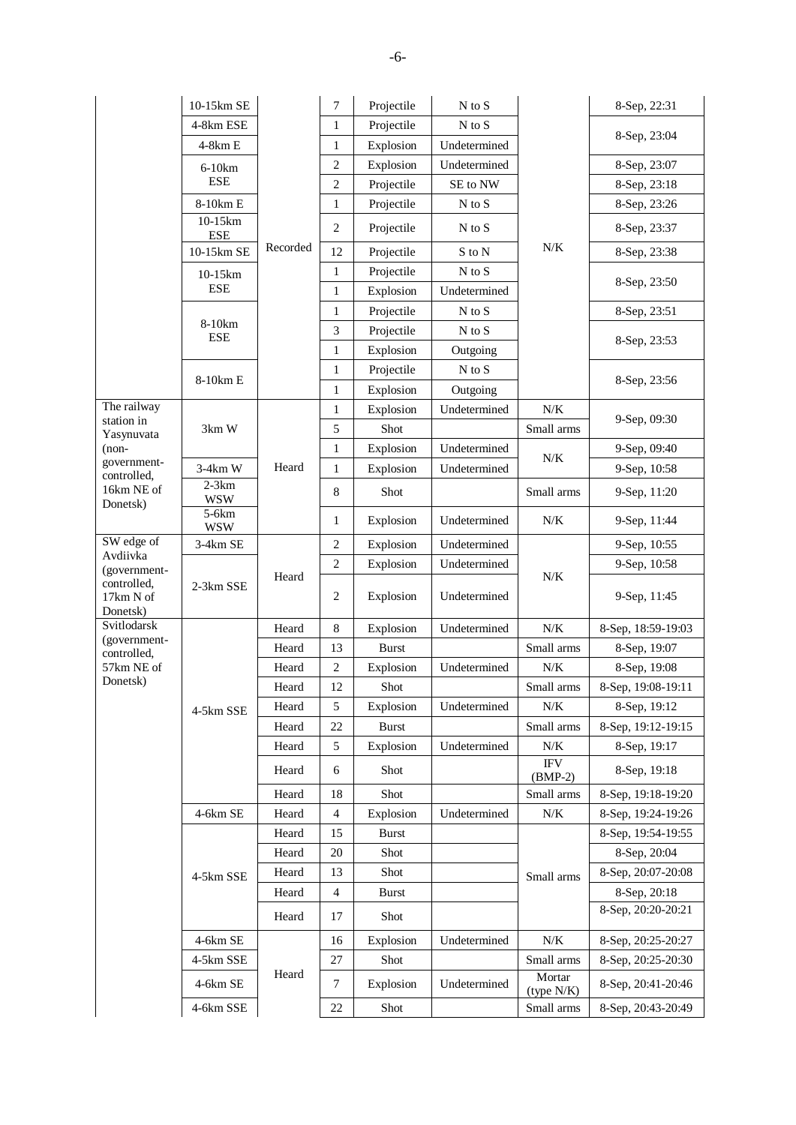|                                      | 10-15km SE                                    |          | 7              | Projectile   | $N$ to $S$                 |                                   | 8-Sep, 22:31       |
|--------------------------------------|-----------------------------------------------|----------|----------------|--------------|----------------------------|-----------------------------------|--------------------|
|                                      | 4-8km ESE                                     |          | $\mathbf{1}$   | Projectile   | $N$ to $S$                 |                                   | 8-Sep, 23:04       |
|                                      | 4-8km E<br>$6-10km$<br><b>ESE</b><br>8-10km E |          | $\mathbf{1}$   | Explosion    | Undetermined               |                                   |                    |
|                                      |                                               |          | $\overline{c}$ | Explosion    | Undetermined               |                                   | 8-Sep, 23:07       |
|                                      |                                               |          | $\overline{c}$ | Projectile   | SE to NW                   |                                   | 8-Sep, 23:18       |
|                                      |                                               |          | $\mathbf{1}$   | Projectile   | $\mathbf N$ to $\mathbf S$ |                                   | 8-Sep, 23:26       |
|                                      | 10-15km<br><b>ESE</b>                         |          | $\mathfrak{2}$ | Projectile   | $N$ to $S$                 |                                   | 8-Sep, 23:37       |
|                                      | 10-15km SE                                    | Recorded | 12             | Projectile   | S to N                     | $N/K$                             | 8-Sep, 23:38       |
|                                      | 10-15km                                       |          | $\mathbf{1}$   | Projectile   | $N$ to $S$                 |                                   | 8-Sep, 23:50       |
|                                      | <b>ESE</b>                                    |          | $\mathbf{1}$   | Explosion    | Undetermined               |                                   |                    |
|                                      |                                               |          | $\mathbf{1}$   | Projectile   | N to S                     |                                   | 8-Sep, 23:51       |
|                                      | 8-10km<br><b>ESE</b>                          |          | 3              | Projectile   | $N$ to $S$                 |                                   | 8-Sep, 23:53       |
|                                      |                                               |          | $\mathbf{1}$   | Explosion    | Outgoing                   |                                   |                    |
|                                      | 8-10km E                                      |          | $\mathbf{1}$   | Projectile   | $N$ to $S$                 |                                   | 8-Sep, 23:56       |
|                                      |                                               |          | $\mathbf{1}$   | Explosion    | Outgoing                   |                                   |                    |
| The railway<br>station in            |                                               |          | $\mathbf{1}$   | Explosion    | Undetermined               | $N/K$                             | 9-Sep, 09:30       |
| Yasynuvata                           | 3km W                                         |          | 5              | Shot         |                            | Small arms                        |                    |
| $(non-$                              |                                               |          | $\mathbf{1}$   | Explosion    | Undetermined               | N/K                               | 9-Sep, 09:40       |
| government-<br>controlled,           | $3-4km$ W                                     | Heard    | $\mathbf{1}$   | Explosion    | Undetermined               |                                   | 9-Sep, 10:58       |
| 16km NE of<br>Donetsk)               | $2-3km$<br><b>WSW</b>                         |          | $\,8\,$        | Shot         |                            | Small arms                        | 9-Sep, 11:20       |
|                                      | 5-6km<br><b>WSW</b>                           |          | $\mathbf{1}$   | Explosion    | Undetermined               | $N\!/\!K$                         | 9-Sep, 11:44       |
| SW edge of<br>Avdiivka               | 3-4km SE                                      | Heard    | $\sqrt{2}$     | Explosion    | Undetermined               |                                   | 9-Sep, 10:55       |
| (government-                         |                                               |          | $\sqrt{2}$     | Explosion    | Undetermined               | ${\rm N/K}$                       | 9-Sep, 10:58       |
| controlled,<br>17km N of<br>Donetsk) | 2-3km SSE                                     |          | $\sqrt{2}$     | Explosion    | Undetermined               |                                   | 9-Sep, 11:45       |
| Svitlodarsk                          |                                               | Heard    | $\,$ 8 $\,$    | Explosion    | Undetermined               | $N/K$                             | 8-Sep, 18:59-19:03 |
| (government-<br>controlled,          |                                               | Heard    | 13             | <b>Burst</b> |                            | Small arms                        | 8-Sep, 19:07       |
| 57km NE of                           |                                               | Heard    | $\sqrt{2}$     | Explosion    | Undetermined               | $N\!/\!K$                         | 8-Sep, 19:08       |
| Donetsk)                             |                                               | Heard    | 12             | Shot         |                            | Small arms                        | 8-Sep, 19:08-19:11 |
|                                      | 4-5km SSE                                     | Heard    | 5              | Explosion    | Undetermined               | $N\!/\!K$                         | 8-Sep, 19:12       |
|                                      |                                               | Heard    | $22\,$         | <b>Burst</b> |                            | Small arms                        | 8-Sep, 19:12-19:15 |
|                                      |                                               | Heard    | $\sqrt{5}$     | Explosion    | Undetermined               | $N\!/\!K$                         | 8-Sep, 19:17       |
|                                      |                                               | Heard    | 6              | Shot         |                            | $\operatorname{IFV}$<br>$(BMP-2)$ | 8-Sep, 19:18       |
|                                      |                                               | Heard    | 18             | Shot         |                            | Small arms                        | 8-Sep, 19:18-19:20 |
|                                      | 4-6km SE                                      | Heard    | $\overline{4}$ | Explosion    | Undetermined               | $N/K$                             | 8-Sep, 19:24-19:26 |
|                                      |                                               | Heard    | 15             | <b>Burst</b> |                            |                                   | 8-Sep, 19:54-19:55 |
|                                      |                                               | Heard    | 20             | Shot         |                            |                                   | 8-Sep, 20:04       |
|                                      | 4-5km SSE                                     | Heard    | 13             | Shot         |                            | Small arms                        | 8-Sep, 20:07-20:08 |
|                                      |                                               | Heard    | $\overline{4}$ | <b>Burst</b> |                            |                                   | 8-Sep, 20:18       |
|                                      |                                               | Heard    | 17             | Shot         |                            |                                   | 8-Sep, 20:20-20:21 |
|                                      | 4-6km SE                                      |          | 16             | Explosion    | Undetermined               | $N\!/\!K$                         | 8-Sep, 20:25-20:27 |
|                                      | 4-5km SSE                                     |          | $27\,$         | Shot         |                            | Small arms                        | 8-Sep, 20:25-20:30 |
|                                      | 4-6km SE                                      | Heard    | $\tau$         | Explosion    | Undetermined               | Mortar<br>(type N/K)              | 8-Sep, 20:41-20:46 |
|                                      | 4-6km SSE                                     |          | 22             | Shot         |                            | Small arms                        | 8-Sep, 20:43-20:49 |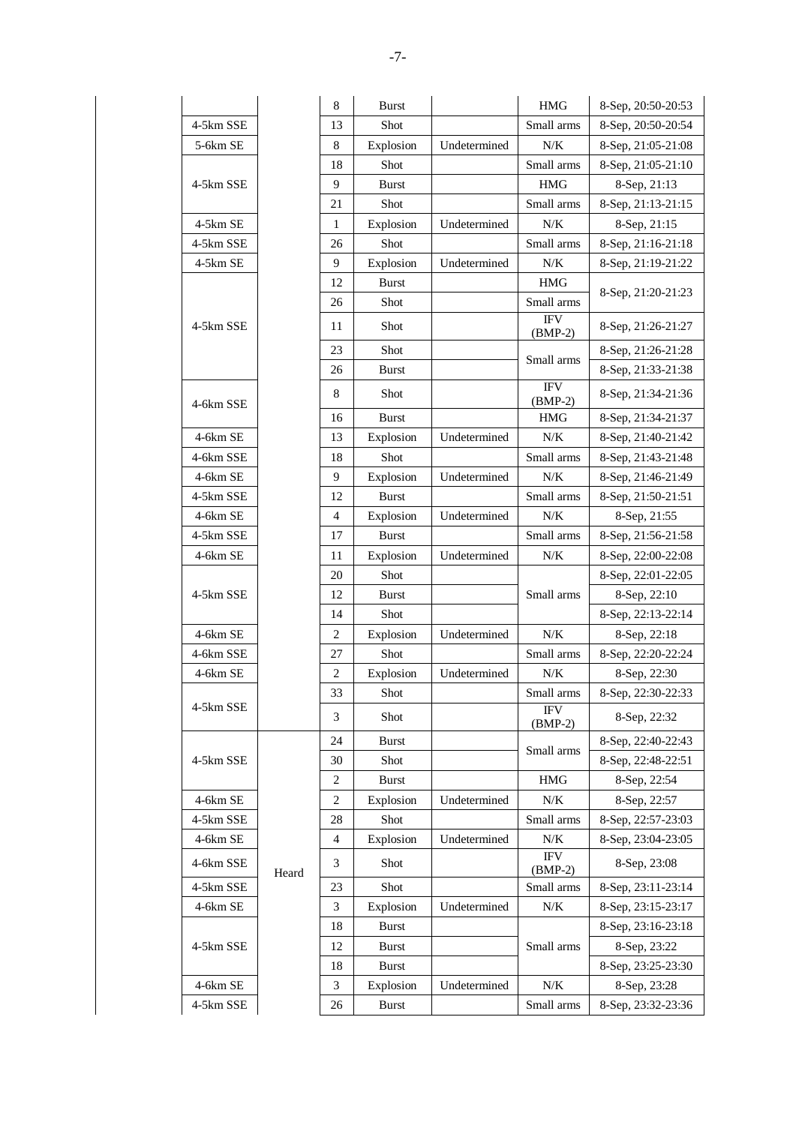|           |       | $\,8\,$        | <b>Burst</b> |              | <b>HMG</b>                        | 8-Sep, 20:50-20:53 |
|-----------|-------|----------------|--------------|--------------|-----------------------------------|--------------------|
| 4-5km SSE |       | 13             | Shot         |              | Small arms                        | 8-Sep, 20:50-20:54 |
| 5-6km SE  |       | 8              | Explosion    | Undetermined | $N\!/\!K$                         | 8-Sep, 21:05-21:08 |
|           |       | 18             | Shot         |              | Small arms                        | 8-Sep, 21:05-21:10 |
| 4-5km SSE |       | 9              | <b>Burst</b> |              | <b>HMG</b>                        | 8-Sep, 21:13       |
|           |       | 21             | Shot         |              | Small arms                        | 8-Sep, 21:13-21:15 |
| 4-5km SE  |       | 1              | Explosion    | Undetermined | $N\!/\!K$                         | 8-Sep, 21:15       |
| 4-5km SSE |       | 26             | Shot         |              | Small arms                        | 8-Sep, 21:16-21:18 |
| 4-5km SE  |       | 9              | Explosion    | Undetermined | N/K                               | 8-Sep, 21:19-21:22 |
|           |       | 12             | <b>Burst</b> |              | <b>HMG</b>                        | 8-Sep, 21:20-21:23 |
|           |       | 26             | Shot         |              | Small arms                        |                    |
| 4-5km SSE |       | 11             | Shot         |              | $\operatorname{IFV}$<br>$(BMP-2)$ | 8-Sep, 21:26-21:27 |
|           |       | 23             | Shot         |              | Small arms                        | 8-Sep, 21:26-21:28 |
|           |       | 26             | <b>Burst</b> |              |                                   | 8-Sep, 21:33-21:38 |
| 4-6km SSE |       | 8              | Shot         |              | <b>IFV</b><br>$(BMP-2)$           | 8-Sep, 21:34-21:36 |
|           |       | 16             | <b>Burst</b> |              | <b>HMG</b>                        | 8-Sep, 21:34-21:37 |
| 4-6km SE  |       | 13             | Explosion    | Undetermined | N/K                               | 8-Sep, 21:40-21:42 |
| 4-6km SSE |       | 18             | Shot         |              | Small arms                        | 8-Sep, 21:43-21:48 |
| 4-6km SE  |       | 9              | Explosion    | Undetermined | N/K                               | 8-Sep, 21:46-21:49 |
| 4-5km SSE |       | 12             | <b>Burst</b> |              | Small arms                        | 8-Sep, 21:50-21:51 |
| 4-6km SE  |       | $\overline{4}$ | Explosion    | Undetermined | $N\!/\!K$                         | 8-Sep, 21:55       |
| 4-5km SSE |       | 17             | <b>Burst</b> |              | Small arms                        | 8-Sep, 21:56-21:58 |
| 4-6km SE  |       | 11             | Explosion    | Undetermined | $N\!/\!K$                         | 8-Sep, 22:00-22:08 |
|           |       | 20             | Shot         |              |                                   | 8-Sep, 22:01-22:05 |
| 4-5km SSE |       | 12             | <b>Burst</b> |              | Small arms                        | 8-Sep, 22:10       |
|           |       | 14             | Shot         |              |                                   | 8-Sep, 22:13-22:14 |
| 4-6km SE  |       | 2              | Explosion    | Undetermined | $N\!/\!K$                         | 8-Sep, 22:18       |
| 4-6km SSE |       | 27             | Shot         |              | Small arms                        | 8-Sep, 22:20-22:24 |
| 4-6km SE  |       | 2              | Explosion    | Undetermined | N/K                               | 8-Sep, 22:30       |
|           |       | 33             | Shot         |              | Small arms                        | 8-Sep, 22:30-22:33 |
| 4-5km SSE |       | 3              | Shot         |              | <b>IFV</b><br>$(BMP-2)$           | 8-Sep, 22:32       |
|           |       | 24             | <b>Burst</b> |              |                                   | 8-Sep, 22:40-22:43 |
| 4-5km SSE |       | 30             | Shot         |              | Small arms                        | 8-Sep, 22:48-22:51 |
|           |       | 2              | <b>Burst</b> |              | <b>HMG</b>                        | 8-Sep, 22:54       |
| 4-6km SE  |       | 2              | Explosion    | Undetermined | $N\!/\!K$                         | 8-Sep, 22:57       |
| 4-5km SSE |       | 28             | Shot         |              | Small arms                        | 8-Sep, 22:57-23:03 |
| 4-6km SE  |       | 4              | Explosion    | Undetermined | $N\!/\!K$                         | 8-Sep, 23:04-23:05 |
| 4-6km SSE | Heard | 3              | Shot         |              | <b>IFV</b><br>$(BMP-2)$           | 8-Sep, 23:08       |
| 4-5km SSE |       | 23             | Shot         |              | Small arms                        | 8-Sep, 23:11-23:14 |
| 4-6km SE  |       | 3              | Explosion    | Undetermined | N/K                               | 8-Sep, 23:15-23:17 |
|           |       | 18             | <b>Burst</b> |              |                                   | 8-Sep, 23:16-23:18 |
| 4-5km SSE |       | 12             | <b>Burst</b> |              | Small arms                        | 8-Sep, 23:22       |
|           |       | 18             | <b>Burst</b> |              |                                   | 8-Sep, 23:25-23:30 |
| 4-6km SE  |       | 3              | Explosion    | Undetermined | N/K                               | 8-Sep, 23:28       |
| 4-5km SSE |       | 26             | Burst        |              | Small arms                        | 8-Sep, 23:32-23:36 |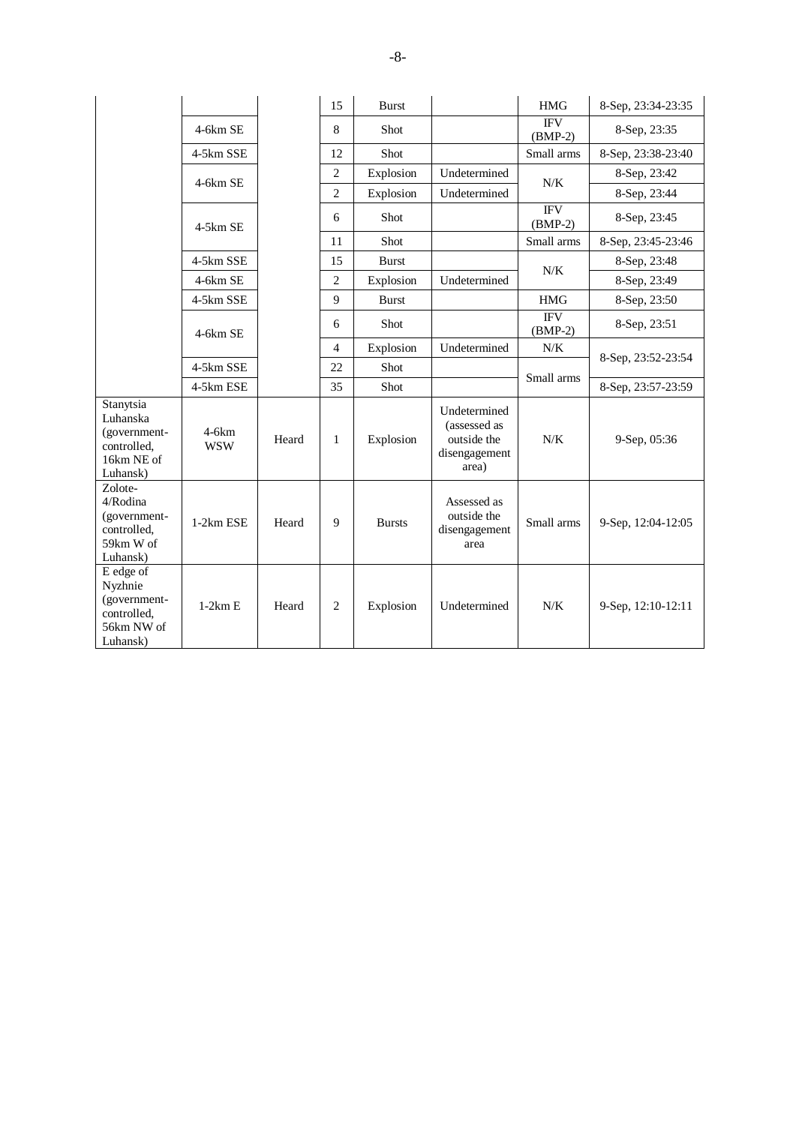|                                                                                |                       |       | 15             | <b>Burst</b>  |                                                                       | <b>HMG</b>              | 8-Sep, 23:34-23:35 |
|--------------------------------------------------------------------------------|-----------------------|-------|----------------|---------------|-----------------------------------------------------------------------|-------------------------|--------------------|
|                                                                                | 4-6km SE              |       | 8              | Shot          |                                                                       | <b>IFV</b><br>$(BMP-2)$ | 8-Sep, 23:35       |
|                                                                                | 4-5km SSE             |       | 12             | Shot          |                                                                       | Small arms              | 8-Sep, 23:38-23:40 |
|                                                                                |                       |       | $\overline{2}$ | Explosion     | Undetermined                                                          | N/K                     | 8-Sep, 23:42       |
|                                                                                | $4-6km$ SE            |       | $\overline{2}$ | Explosion     | Undetermined                                                          |                         | 8-Sep, 23:44       |
|                                                                                | $4-5km$ SE            |       | 6              | Shot          |                                                                       | <b>IFV</b><br>$(BMP-2)$ | 8-Sep, 23:45       |
|                                                                                |                       |       | 11             | Shot          |                                                                       | Small arms              | 8-Sep, 23:45-23:46 |
|                                                                                | 4-5km SSE             |       | 15             | <b>Burst</b>  |                                                                       | N/K                     | 8-Sep, 23:48       |
|                                                                                | 4-6km SE              |       | $\overline{2}$ | Explosion     | Undetermined                                                          |                         | 8-Sep, 23:49       |
|                                                                                | 4-5km SSE             |       | $\mathbf{Q}$   | <b>Burst</b>  |                                                                       | <b>HMG</b>              | 8-Sep, 23:50       |
|                                                                                | $4-6km$ SE            |       | 6              | Shot          |                                                                       | <b>IFV</b><br>$(BMP-2)$ | 8-Sep, 23:51       |
|                                                                                |                       |       | $\overline{4}$ | Explosion     | Undetermined                                                          | N/K                     |                    |
|                                                                                | 4-5km SSE             |       | 22             | Shot          |                                                                       | Small arms              | 8-Sep, 23:52-23:54 |
|                                                                                | 4-5km ESE             |       | 35             | Shot          |                                                                       |                         | 8-Sep, 23:57-23:59 |
| Stanytsia<br>Luhanska<br>(government-<br>controlled.<br>16km NE of<br>Luhansk) | $4-6km$<br><b>WSW</b> | Heard | $\mathbf{1}$   | Explosion     | Undetermined<br>(assessed as<br>outside the<br>disengagement<br>area) | $N/K$                   | 9-Sep, 05:36       |
| Zolote-<br>4/Rodina<br>(government-<br>controlled,<br>59km W of<br>Luhansk)    | 1-2km ESE             | Heard | 9              | <b>Bursts</b> | Assessed as<br>outside the<br>disengagement<br>area                   | Small arms              | 9-Sep, 12:04-12:05 |
| E edge of<br>Nyzhnie<br>(government-<br>controlled,<br>56km NW of<br>Luhansk)  | $1-2km E$             | Heard | $\overline{2}$ | Explosion     | Undetermined                                                          | N/K                     | 9-Sep, 12:10-12:11 |